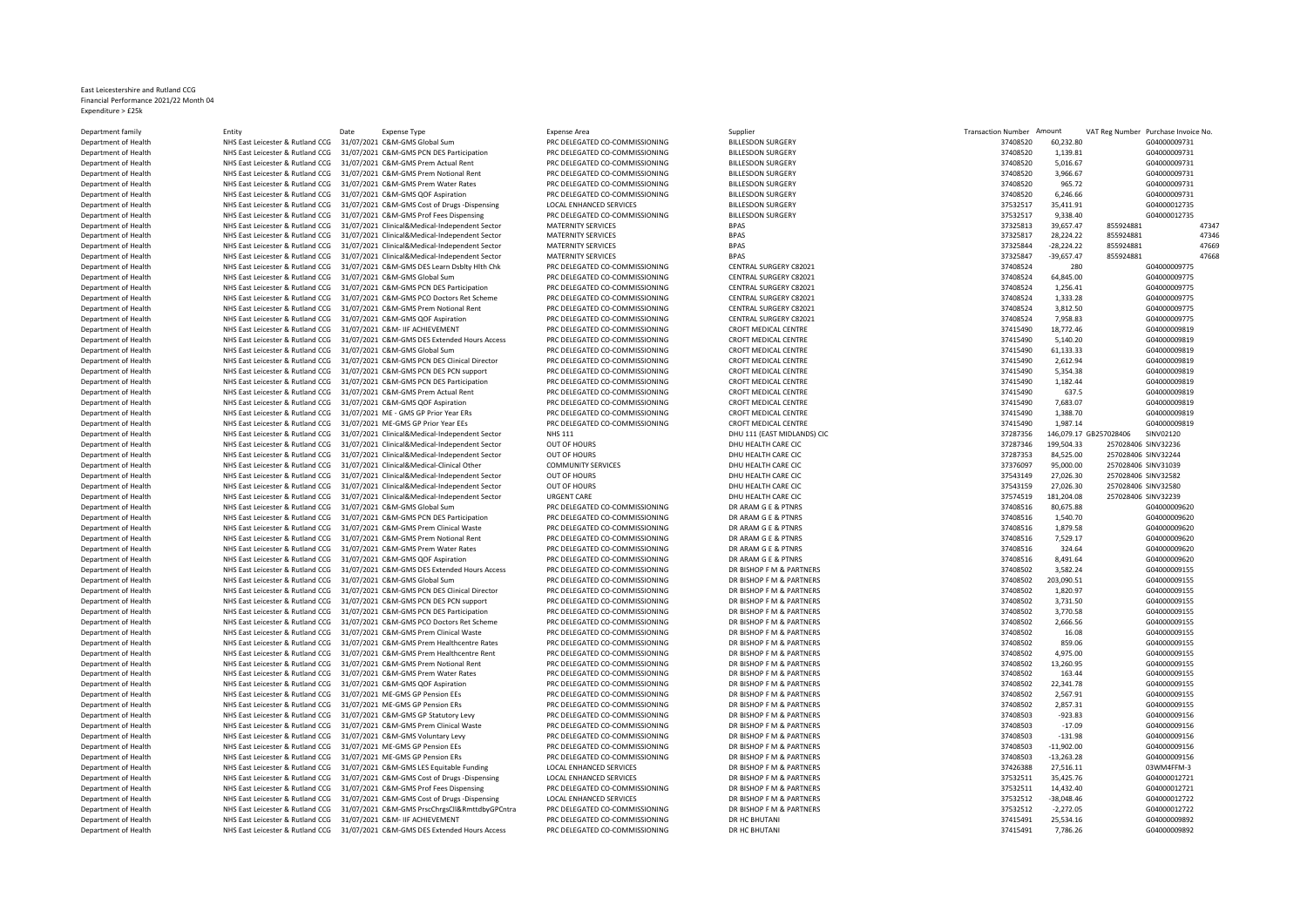## East Leicestershire and Rutland CCG Financial Performance 2021/22 Month 04 Expenditure > £25k

Department family Partment in Entity Entity Date Expense Type Expense Area Expense Area Supplier Supplier Supplier Supplier Supplier Transaction Number Amount VAT Reg Number Purchase Invoice No. Department of Health **NHS East Leicester & Rutland CCG** 31/07/2021 C&M-GMS Global Sum PRC DELEGATED CO-COMMISSIONING BILLESDON SURGERY 37408520 60,232.80 60,232.80 FMS CONTENTIONING BILLESDON SURGERY 37408520 60,232.80 GDA Department of Health **NHS East Leicester & Rutland CCG 31/07/2021 C&M-GMS PCN DES Participation** PRC DELEGATED CO-COMMISSIONING BILLESDON SURGERY 37408520 1,149.81 BILLESDON SURGERY 3740872021 C&M-GMS Participation PRC DEL Department of Health **NHS East Leicester & Rutland CCG 31/07/2021 C&M-GMS Prem Actual Rent** PRC DELEGATED CO-COMMISSIONING BILLESDON SURGERY 31/07/2021 C&M-GMS PREM PROTELEGATED CO-COMMISSIONING BILLESDON SURGERY 31/07/202 Department of Health NHS East Leicester & Rutland CCG 31/07/2021 C&M-GMS Prem Notional Rent PRC DELEGATED CO-COMMISSIONING BILLESDON SURGERY 37408520 3,966.67 GDAM AND BILLESDON SURGERY 37408520 3,966.67 GDAM AND BILLESDON Department of Health NHS East Leicester & Rutland CCG 31/07/2021 C&M-GMS Prem Water Rates PRC DELEGATED CO-COMMISSIONING BILLESDON SURGERY 31/07/2021 CAM-GMS QOF Aspiration PRC DELEGATED CO-COMMISSIONING BILLESDON SURGERY Department of Health **NHS East Leicester & Rutland CCG 31/07/2021 C&M-GMS QOF Aspiration** PRC DELEGATED CO-COMMISSIONING BILLESDON SURGERY 37408520 6,246.66 GD Aspiration PRC DELEGATED CO-COMMISSIONING BILLESDON SURGERY 37 Department of Health **NHS East Leicester & Rutland CCG 31/07/2021 C&M-GMS Cost of Drugs -Dispensing LOCAL ENHANCED SERVICES BILLESDON SURGERY BILLESDON SURGERY 31/07/2021 C&M-GMS Cost of Drugs -Dispensing LOCAL ENHANCED SE** Department of Health **MHS East Leicester & Rutland CCG** 31/07/2021 C&M-GMS Prof Fees Dispensing PRC DELEGATED CO-COMMISSIONING BILLE<br>Department of Health **MHS East Leicester & Rutland CCG 31/07/2021** Clinical&Medical-Indep Department of Health NHS East Leicester & Rutland CCG 31/07/2021 Clinical&Medical-Independent Sector MATERNITY SERVICES BPAS 37325813 39,657.47 855924881 47347 Department of Health NHS East Leicester & Rutland CCG 31/07/2021 Clinical&Medical-Independent Sector MATERNITY SERVICES BPAS BPAS 3732581 37325817 28,224.22 855924881 47346<br>Department of Health NHS East Leicester & Rutland Department of Health NHS East Leicester & Rutland CCG 31/07/2021 Clinical&Medical-Independent Sector MATERNITY SERVICES BPAS and the sector and the sector and the sector and the sector and the sector and the sector and th Department of Health **MHS East Leicester & Rutland CCG** 31/07/2021 Clinical&Medical-Independent Sector MATERNITY SERVICES BPAS 3747 -39 BPAS 3747 -39,677 -39,677 -39,677 -39,677 -39,674 -39,657.47 87,677 -39,674 81166881 2 Department of Health MHS East Leicester & Rutland CCG 31/07/2021 C&M-GMS DES Learn Dsblty Hlth Chk PRC DELEGATED CO-COMMISSIONING CENTRAL SURGERY C82021 280 GENTRAL SURGERY C82021 280 GENTRAL SURGERY C82021 280 GD1 RC DELE Department of Health **NHS East Leicester & Rutland CCG 31/07/2021 C&M-GMS Global Sum** PRC DELEGATED CO-COMMISSIONING CENTRAL SURGERY C82021 37408524 64,845.00 GDE EATTER COMMISSIONING CENTRAL SURGERY C82021 64,845.00 GDE E Department of Health NHS East Leicester & Rutland CCG 31/07/2021 C&M-GMS PCN DES Participation PRC DELEGATED CO-COMMISSIONING CENTRAL SURGERY C82021<br>Department of Health NHS East Leicester & Rutland CCG 31/07/2021 C&M-GMS Department of Health NHS East Leicester & Rutland CCG 31/07/2021 C&M-GMS PCO Doctors Ret Scheme PRC DELEGATED CO-COMMISSIONING CENTRAL SURGERY C82021<br>Department of Health NHS East Leicester & Butland CCG 31/07/2021 C&M-GMS Department of Health MHS East Leicester & Rutland CCG 31/07/2021 C&M-GMS Prem Notional Rent PRC DELEGATED CO-COMMISSIONING CENTRAL SURGERY C82021<br>Department of Health MHS East Leicester & Rutland CCG 31/07/2021 C&M-GMS OOF Department of Health NHS East Leicester & Rutland CCG 31/07/2021 C&M-GMS QOF Aspiration PRC DELEGATED CO-COMMISSIONING CENTRAL SURGERY C8202<br>Department of Health NHS East Leicester & Rutland CCG 31/07/2021 C&M- IIF ACHIEVE Department of Health NHS East Leicester & Rutland CCG 31/07/2021 C&M- IIF ACHIEVEMENT PRC DELEGATED CO-COMMISSIONING CROFT MEDICAL CENTRE 37107/2021 C&M- IIF ACHIEVEMENT PRODUCAL CENTRE 37415490 18,784141444 GOFT MEDICAL C DRIS East Leicester & Rutland CCG 31/07/2021 C&M-GMS DES Extended Hours Access Department of Health NHS East Leicester & Rutland CCG 31/07/2021 C&M-GMS Global Sum PRC DELEGATED CO-COMMISSIONING CROFT MEDICAL CENTRE Department of Health NHS East Leicester & Rutland CCG 31/07/2021 C&M-GMS PCN DES Clinical Director PRC DELEGATED CO-COMMISSIONING CROET MEDICAL CENTRE Department of Health NHS East Leicester & Rutland CCG 31/07/2021 C&M-GMS PCN DES PCN support PRC DELEGATED CO-COMMISSIONING CROFT MEDICAL CENTRE 31.48 CROFT MEDICAL CENTRE 37/07/2021 C&M-GMS PCN DES Participation PRC DELEG NHS East Leicester & Rutland CCG 31/07/2021 C&M-GMS PCN DES Participation Department of Health NHS East Leicester & Rutland CCG 31/07/2021 C&M-GMS Prem Actual Rent PRC DELEGATED CO-COMMISSIONING CROFT MEDICAL CENTRE 31.15 CROFT MEDICAL CENTRE 37.1671620 63.1/07/2021 C&M-GMS ADERT ASSESS PRO DELE Department of Health NHS East Leicester & Rutland CCG 31/07/2021 C&M-GMS QOF Aspiration PRC DELEGATED CO-COMMISSIONING CROFT MEDICAL CENTRE 37107/2021 CROFT MEDICAL CENTRE 37416490 7,083.07 CROFT MEDICAL CENTRE 37416490 7, Department of Health NHS East Leicester & Rutland CCG 31/07/2021 ME - GMS GP Prior Year ERs PRC DELEGATED CO-COMMISSIONING CROFT MEDICAL CENTRE 374.71/2021 ME-GAME SPEELEGATED CROFT MEDICAL CENTRE 374.70 GDGFT MEDICAL CENT Department of Health **MHS East Leicester & Rutland CCG 31/07/2021 ME-GMS GP Prior Year EEs** PRC DELEGATED CO-COMMISSIONING CROFT MEDICAL CENTRE 31154657 NHS East Leicester & Rutland CCG 31/07/2021 Clinical&Medical-Independ Department of Health NHS East Leicester & Rutland CCG 31/07/2021 Clinical&Medical-Independent Sector NHS 111 DHU 111 (EAST MIDLANDS) CIC 31/07/2021 Clinical&Medical-Independent Sector OUT OF HOURS DHU HEALTH CARE CIC 37.07 Department of Health NHS East Leicester & Rutland CCG 31/07/2021 Clinical&Medical-Independent Sector OUT OF HOURS DHU HEALTH CARE CIC<br>Department of Health NHS East Leicester & Butland CCG 31/07/2021 Clinical&Medical-Indepe Department of Health NHS East Leicester & Rutland CCG 31/07/2021 Clinical&Medical-Independent Sector DUT OF HOURS DHO HEALTH CARE CIC 31.00 2013 84,525.00 25702944 84,525.00 257028406 SINU HEALTH CARE CIC 31/07/2021 Clinic Department of Health NHS East Leicester & Rutland CCG 31/07/2021 Clinical&Medical-Clinical Other COMMUNITY SERVICES DHU HEALTH CARE CIC<br>Department of Health NHS East Leicester & Butland CCG 31/07/2021 Clinical&Medical-Inde Department of Health NHS East Leicester & Rutland CCG 31/07/2021 Clinical&Medical-Independent Sector OUT OF HOURS DHU HEALTH CARE CIC 31/07/2021 Clinical&Medical-Independent Sector OUT OF HOURS DHU HEALTH CARE CIC 37.027.2 Department of Health NHS East Leicester & Rutland CCG 31/07/2021 Clinical&Medical-Independent Sector OUT OF HOURS DHU HEALTH CARE CIC 31/07/2021 Clinical&Medical-Independent Sector OUT OF HOURS DHU HEALTH CARE CIC 37.07/20 Department of Health NHS East Leicester & Rutland CCG 31/07/2021 Clinical&Medical-Independent Sector URGENT CARE CIC COMMISSIONING DHU HEALTH CARE CIC 31,077/2021 Clinical&Medical-Independent Sector URGENT CARE CIC-COMMISS Department of Health NHS East Leicester & Rutland CCG 31/07/2021 C&M-GMS Global Sum PRC DELEGATED CO-COMMISSIONING DR ARAM G E & PTNRS 37408516 2007/2021 CAM-GMS Global Sum PRC DELEGATED CO-COMMISSIONING DR ARAM G F & PTNR Department of Health **NHS East Leicester & Rutland CCG** 31/07/2021 C&M-GMS PCN DES Participation PRC DELEGATED CO-COMMISSIONING DR ARAM G E & PTNRS 37408516 1,540.70 GDA ARAM G E & PTNRS 37408516 21,407/2021 C&M-GMS PRO CH Department of Health NHS East Leicester & Rutland CCG 31/07/2021 C&M-GMS Prem Clinical Waste PRC DELEGATED CO-COMMISSIONING DR ARAM G E & PTNRS 37408516 2014 DR ARAM G E & PTNRS 37408516 2014 2014 2014 2014 2014 2014 2014 Department of Health **NHS East Leicester & Rutland CCG 31/07/2021 C&M-GMS Prem Notional Rent** PRC DELEGATED CO-COMMISSIONING DR ARAM G E & PTNRS 37400 FRC ARAM G E & PTNRS 375.17 COMMISSIONING DR ARAM G E & PTNRS 3740.17 G Department of Health **NHS East Leicester & Rutland CCG 31/07/2021 C&M-GMS Prem Water Rates** PRC DELEGATED CO-COMMISSIONING DR ARAM G E & PTNRS 3740.64 GMS 37408516 324.64 GMS 202.64 GMS 37408516 324.64 GMS 37408516 324.64 DEPARTMENT OF HEALTH NHS East Leicester & Rutland CCG 31/07/2021 C&M-GMS QOF Aspiration Department of Health NHS East Leicester & Rutland CCG 31/07/2021 C&M-GMS DES Extended Hours Access PRC DELEGATED CO-COMMISSIONING DR BISHOP F M & PARTNERS Department of Health NHS East Leicester & Rutland CCG 31/07/2021 C&M-GMS Global Sum PRC DELEGATED CO-COMMISSIONING DR BISHOP F M & PARTNERS Department of Health NHS East Leicester & Rutland CCG 31/07/2021 C&M-GMS PCN DES Clinical Director PRC DELEGATED CO-COMMISSIONING DR BISHOP F M & PARTNERS 2011 AUCH 2020 1,820.97 DR BISHOP F M & PARTNERS 37407/2021 C&M-GMS NHS East Leicester & Rutland CCG 31/07/2021 C&M-GMS PCN DES PCN support Department of Health NHS East Leicester & Rutland CCG 31/07/2021 C&M-GMS PCN DES Participation PRC DELEGATED CO-COMMISSIONING DR BISHOP F M & PARTNERS Department of Health NHS East Leicester & Rutland CCG 31/07/2021 C&M-GMS PCO Doctors Ret Scheme PRC DELEGATED CO-COMMISSIONING DR BISHOP F M & PARTNERS Department of Health NHS East Leicester & Rutland CCG 31/07/2021 C&M-GMS Prem Clinical Waste PRC DELEGATED CO-COMMISSIONING DR BISHOP F M & PARTNERS Department of Health NHS East Leicester & Rutland CCG 31/07/2021 C&M-GMS Prem Healthcentre Rates PRC DELEGATED CO-COMMISSIONING DR BISHOP F M & PARTNERS PREM BISHOP F M & PARTNERS 31/07/2021 C&M-GMS Prem Healthcentre Rent Department of Health NHS East Leicester & Rutland CCG 31/07/2021 C&M-GMS Prem Healthcentre Rent Department of Health **NHS East Leicester & Rutland CCG** 31/07/2021 C&M-GMS Prem Notional Rent PRC DELEGATED CO-COMMISSIONING DR BISHOP F M & PARTNERS Department of Health NHS East Leicester & Rutland CCG 31/07/2021 C&M-GMS Prem Water Rates PRC DELEGATED CO-COMMISSIONING DR BISHOP F M & PARTNERS Department of Health NHS East Leicester & Rutland CCG 31/07/2021 C&M-GMS QOF Aspiration PRC DELEGATED CO-COMMISSIONING DR BISHOP F M & PARTNERS Department of Health NHS East Leicester & Rutland CCG 31/07/2021 ME-GMS GP Pension EEs Pension EES PRC DELEGATED CO-COMMISSIONING DR BISHOP F M & PARTNERS 31/07/2021 ME-GMS GP Pension ERS PRETNERS 2,57.92 2,567.91 DR BISHO Department of Health **NHS East Leicester & Rutland CCG 31/07/2021 ME-GMS GP Pension ERs** PRC DELEGATED CO-COMMISSIONING DR BISHOP F M & PARTNERS PENSIONERS ARE DR BISHOP F M & PARTNERS 37407/2021 ME-GMS GP Statutory 1 ever Department of Health NHS East Leicester & Rutland CCG 31/07/2021 C&M-GMS GP Statutory Levy PRC DELEGATED CO-COMMISSIONING DR BISHOP F M & PARTNERS 37408503 DR BISHOP F M & PARTNERS 37408503 -923.83 G04000000000000000000000 Department of Health NHS East Leicester & Rutland CCG 31/07/2021 C&M-GMS Prem Clinical Waste PRC DELEGATED CO-COMMISSIONING DR BISHOP F M & PARTNERS 37408503 -17.09 DR BISHOP F M & PARTNERS 374087 -17.09 GM -17.09 GD400000 Department of Health NHS East Leicester & Rutland CCG 31/07/2021 C&M-GMS Voluntary Levy PRC DELEGATED CO-COMMISSIONING DR BISHOP F M & PARTNERS 37408503 -131.98 Government of Health New State Leventre & Bushop English CCC Department of Health NHS East Leicester & Rutland CCG 31/07/2021 ME-GMS GP Pension EEs PRC DELEGATED CO-COMMISSIONING DR BISHOP F M & PARTNERS 31/07/2021 ME-GMS GP Pension ERS PRESS PRESS PRESS PRESS PRESS PRESS PRESS PRES Department of Health NHS East Leicester & Rutland CCG 31/07/2021 ME-GMS GP Pension ERs PRC DELEGATED CO-COMMISSIONING DR BISHOP F M & PARTNERS PRESELO AT LATHERS AND THE SERVICES AND RESELO AT LATHERS AND RESELO PROVIDED A Department of Health **NHS East Leicester & Rutland CCG** 31/07/2021 C&M-GMS LES Equitable Funding LOCAL ENHANCED SERVICES DR BISHOP F M & PARTNERS 3742638 27,516.12 27,516.12 27,5176.12 27,5276.12 27,574.11 03 27,5176.11 03 NHS East Leicester & Rutland CCG 31/07/2021 C&M-GMS Cost of Drugs -Dispensing Department of Health NHS East Leicester & Rutland CCG 31/07/2021 C&M-GMS Prof Fees Dispensing PRC DELEGATED CO-COMMISSIONING DR BISHOP F M & PARTNERS Department of Health NHS East Leicester & Rutland CCG 31/07/2021 C&M-GMS Cost of Drugs -Dispensing LOCAL ENHANCED SERVICES DR BISHOP E M & PARTNERS Department of Health NHS East Leicester & Rutland CCG 31/07/2021 C&M-GMS PrscChrgsCll&RmttdbyGPCntra PRC DELEGATED CO-COMMISSIONING DR BISHOP F M & PARTNERS PRE CHINTANING DR BISHOP F M & PARTNERS 31/07/2021 C&M- URC HINTE Department of Health NHS East Leicester & Rutland CCG 31/07/2021 C&M- IIF ACHIEVEMENT

Department of Health NHS East Leicester & Rutland CCG 31/07/2021 C&M-GMS DES Extended Hours Access PRC DELEGATED CO-COMMISSIONING DR HC BHUTANI

| ilisaction ivuniber | Allivulli,   | var keg number         | <b>Purchase invoice</b> i |   |
|---------------------|--------------|------------------------|---------------------------|---|
| 37408520            | 60,232.80    |                        | G04000009731              |   |
| 37408520            | 1,139.81     |                        | G04000009731              |   |
| 37408520            | 5,016.67     |                        | G04000009731              |   |
| 37408520            | 3,966.67     |                        | G04000009731              |   |
| 37408520            | 965.72       |                        | G04000009731              |   |
| 37408520            | 6,246.66     |                        | G04000009731              |   |
| 37532517            | 35,411.91    |                        | G04000012735              |   |
|                     |              |                        |                           |   |
| 37532517            | 9,338.40     |                        | G04000012735              |   |
| 37325813            | 39,657.47    | 855924881              |                           | 4 |
| 37325817            | 28,224.22    | 855924881              |                           | 4 |
| 37325844            | $-28,224.22$ | 855924881              |                           | 4 |
| 37325847            | $-39,657.47$ | 855924881              |                           | 4 |
| 37408524            | 280          |                        | G04000009775              |   |
| 37408524            | 64,845.00    |                        | G04000009775              |   |
| 37408524            | 1,256.41     |                        | G04000009775              |   |
| 37408524            | 1,333.28     |                        | G04000009775              |   |
| 37408524            | 3,812.50     |                        | G04000009775              |   |
| 37408524            | 7,958.83     |                        | G04000009775              |   |
| 37415490            | 18,772.46    |                        | G04000009819              |   |
| 37415490            |              |                        | G04000009819              |   |
|                     | 5,140.20     |                        |                           |   |
| 37415490            | 61,133.33    |                        | G04000009819              |   |
| 37415490            | 2,612.94     |                        | G04000009819              |   |
| 37415490            | 5,354.38     |                        | G04000009819              |   |
| 37415490            | 1,182.44     |                        | G04000009819              |   |
| 37415490            | 637.5        |                        | G04000009819              |   |
| 37415490            | 7,683.07     |                        | G04000009819              |   |
| 37415490            | 1,388.70     |                        | G04000009819              |   |
| 37415490            | 1,987.14     |                        | G04000009819              |   |
| 37287356            |              | 146,079.17 GB257028406 | SINV02120                 |   |
| 37287346            | 199,504.33   | 257028406 SINV32236    |                           |   |
| 37287353            | 84,525.00    | 257028406 SINV32244    |                           |   |
| 37376097            | 95,000.00    | 257028406 SINV31039    |                           |   |
| 37543149            | 27,026.30    | 257028406 SINV32582    |                           |   |
| 37543159            | 27,026.30    | 257028406 SINV32580    |                           |   |
| 37574519            | 181,204.08   | 257028406 SINV32239    |                           |   |
| 37408516            | 80,675.88    |                        | G04000009620              |   |
|                     |              |                        |                           |   |
| 37408516            | 1,540.70     |                        | G04000009620              |   |
| 37408516            | 1,879.58     |                        | G04000009620              |   |
| 37408516            | 7,529.17     |                        | G04000009620              |   |
| 37408516            | 324.64       |                        | G04000009620              |   |
| 37408516            | 8,491.64     |                        | G04000009620              |   |
| 37408502            | 3,582.24     |                        | G04000009155              |   |
| 37408502            | 203,090.51   |                        | G04000009155              |   |
| 37408502            | 1,820.97     |                        | G04000009155              |   |
| 37408502            | 3,731.50     |                        | G04000009155              |   |
| 37408502            | 3,770.58     |                        | G04000009155              |   |
| 37408502            | 2,666.56     |                        | G04000009155              |   |
| 37408502            | 16.08        |                        | G04000009155              |   |
| 37408502            | 859.06       |                        | G04000009155              |   |
| 37408502            | 4,975.00     |                        | G04000009155              |   |
| 37408502            | 13,260.95    |                        | G04000009155              |   |
| 37408502            | 163.44       |                        | G04000009155              |   |
| 37408502            | 22,341.78    |                        | G04000009155              |   |
| 37408502            | 2,567.91     |                        | G04000009155              |   |
|                     |              |                        |                           |   |
| 37408502            | 2,857.31     |                        | G04000009155              |   |
| 37408503            | $-923.83$    |                        | G04000009156              |   |
| 37408503            | $-17.09$     |                        | G04000009156              |   |
| 37408503            | $-131.98$    |                        | G04000009156              |   |
| 37408503            | $-11,902.00$ |                        | G04000009156              |   |
| 37408503            | $-13,263.28$ |                        | G04000009156              |   |
| 37426388            | 27,516.11    |                        | 03WM4FFM-3                |   |
| 37532511            | 35,425.76    |                        | G04000012721              |   |
| 37532511            | 14,432.40    |                        | G04000012721              |   |
| 37532512            | $-38,048.46$ |                        | G04000012722              |   |
| 37532512            | $-2,272.05$  |                        | G04000012722              |   |
| 37415491            | 25,534.16    |                        | G04000009892              |   |
| 37415491            | 7,786.26     |                        | G04000009892              |   |
|                     |              |                        |                           |   |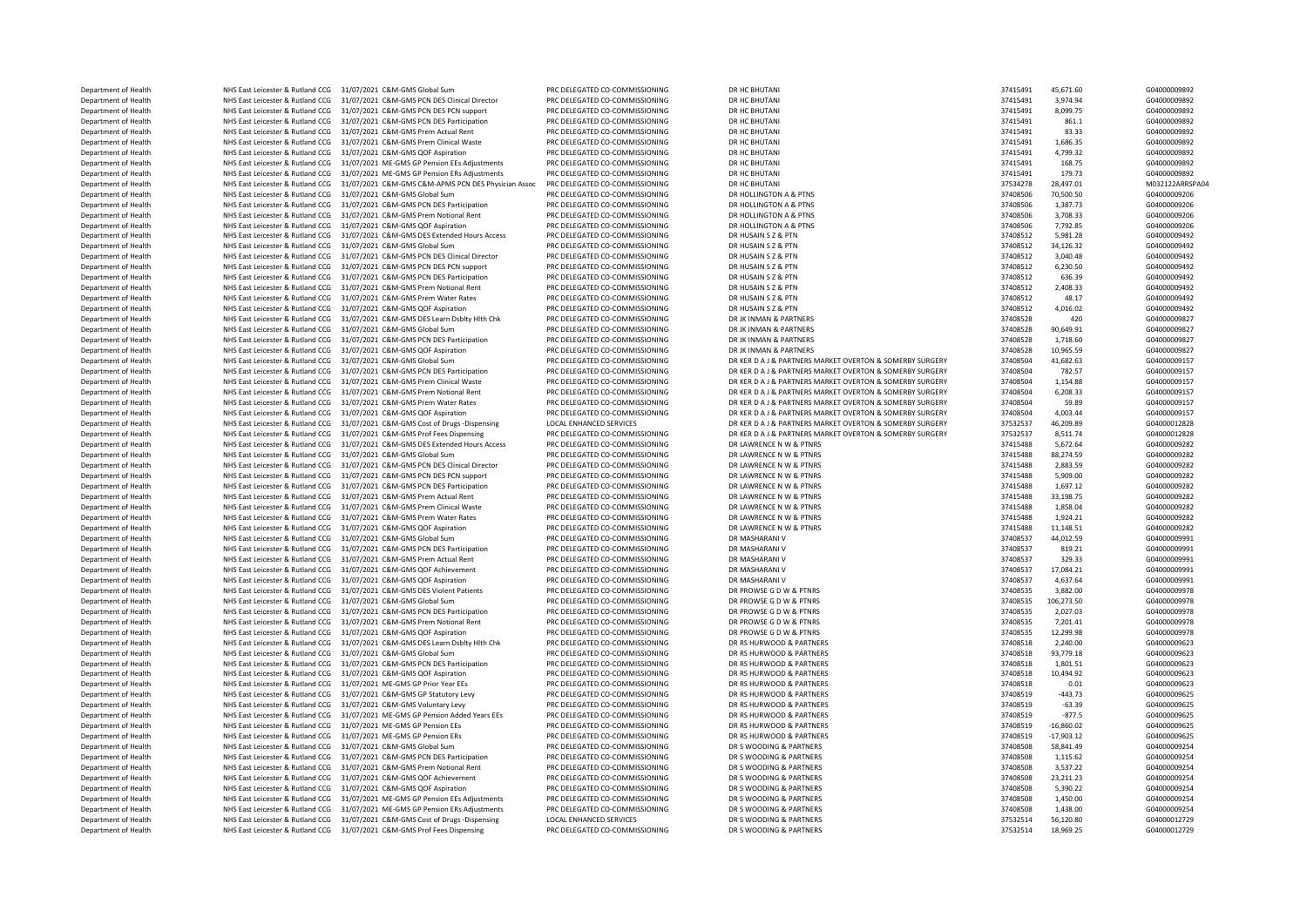DEPARTMENT OF HEALTH NHS East Leicester & Rutland CCG 31/07/2021 C&M-GMS PCN DES Participation DEPARTMENT OF HEALTH NHS East Leicester & Rutland CCG 31/07/2021 C&M-GMS Prem Actual Rent NHS East Leicester & Rutland CCG 31/07/2021 C&M-GMS Global Sum Department of Health Nutland CCG 31/07/2021 C&M-GMS QOF Achievement Department of Health NHS East Leicester & Rutland CCG 31/07/2021 C&M-GMS Prof Fees Dispensing PRC DELEGATED CO-COMMISSIONING DR S WOODING & PARTNERS 37532514 18,969.25 G04000012729

Department of Health NHS East Leicester & Rutland CCG 31/07/2021 C&M-GMS Global Sum PRC DELEGATED CO-COMMISSIONING DR HC BHUTANI 37415491 45,671.60 G04000009892 Department of Health MHS East Leicester & Rutland CCG 31/07/2021 C&M-GMS PCN DES Clinical Director PRC DELEGATED CO-COMMISSIONING DR HC BHUTANI DR 2010 1997 1998 201000009892 12415491 3,974.94 604000009892<br>Department of He Department of Health NHS East Leicester & Rutland CCG 31/07/2021 C&M-GMS PCN DES PCN support PRC DELEGATED CO-COMMISSIONING DR HC BHUTANI 37415491 8,099.75 G04000009892 Department of Health NHS East Leicester & Rutland CCG 31/07/2021 C&M-GMS PCN DES Participation PRC DELEGATED CO-COMMISSIONING DR HC BHUTANI 37415491 861.1 604000009892<br>December of Health NHS East Leicester & Butland CCG 31 Department of Health NHS East Leicester & Rutland CCG 31/07/2021 C&M-GMS Prem Actual Rent PRC DELEGATED CO-COMMISSIONING DR HC BHUTANI 37415491 37415491 83.33 G0400009892<br>Department of Health NHS East Leicester & Rutland C Department of Health NHS East Leicester & Rutland CCG 31/07/2021 C&M-GMS Prem Clinical Waste PRC DELEGATED CO-COMMISSIONING DR HC BHUTANI 37415491 37415491 1,686.35 G04000009892<br>Department of Health NHS Eart Leicester & Bu Department of Health NHS East Leicester & Rutland CCG 31/07/2021 C&M-GMS QOF Aspiration PRC DELEGATED CO-COMMISSIONING DR HC BHUTANI 2011 2011 2012 37415491 4,799.32 G0400009892 Department of Health NHS East Leicester & Rutland CCG 31/07/2021 ME-GMS GP Pension EEs Adjustments PRC DELEGATED CO-COMMISSIONING DR HC BHUTANI 37415491 168.75 57415491 168.75 60400009892<br>Department of Health NHS East Leic Department of Health NHS East Leicester & Rutland CCG 31/07/2021 ME-GMS GP Pension ERs Adjustments PRC DELEGATED CO-COMMISSIONING DR HC BHUTANI 37415491 179.73 G04000009892<br>Department of Health NHS East Leicester & Butland Department of Health NHS East Leicester & Rutland CCG 31/07/2021 C&M-GMS C&M-APMS PCN DES Physician Assoc PRC DELEGATED CO-COMMISSIONING DR HC BHUTANI 3754 2010 2012 28,497.01 28,497.01 M032122ARRS<br>Department of Health NHS Department of Health NHS East Leicester & Rutland CCG 31/07/2021 C&M-GMS Global Sum PRC DELEGATED CO-COMMISSIONING DR HOLLINGTON A & PTNS 37408506 70,500.50 504000009206 604000009206 72,000 604000009206 73408506 73408506 7 Department of Health NHS East Leicester & Rutland CCG 31/07/2021 C&M-GMS PCN DES Participation PRC DELEGATED CO-COMMISSIONING DR HOLLINGTON A & PTNS 37408506 1,387.73 G04000009206 Department of Health NHS East Leicester & Rutland CCG 31/07/2021 C&M-GMS Prem Notional Rent PRC DELEGATED CO-COMMISSIONING DR HOLLINGTON A & PTNS SAN DELEGATED CO-COMMISSIONING DR HOLLINGTON A & PTNS 37408506 3,708.33 G040 Department of Health MHS East Leicester & Rutland CCG 31/07/2021 C&M-GMS QOF Aspiration PRC DELEGATED CO-COMMISSIONING DR HOLLINGTON A & PTNS 37408506 7,792.85 G0400009206 7,292.85 G0400009206 7,292.85 G04000009206 7,200 Department of Health NHS East Leicester & Rutland CCG 31/07/2021 C&M-GMS DES Extended Hours Access PRC DELEGATED CO-COMMISSIONING DR HUSAIN S Z& PTN 37408512 5,981.28 57408512 5,981.28 G04000009492<br>Department of Health NHS Department of Health NHS East Leicester & Rutland CCG 31/07/2021 C&M-GMS Global Sum PRC DELEGATED CO-COMMISSIONING DR HUSAIN S Z BETN 37408512 34,126.32 G0400009492<br>Department of Health NHS East Leicester & Butland CCG 31/ Department of Health NHS East Leicester & Rutland CCG 31/07/2021 C&M-GMS PCN DES Clinical Director PRC DELEGATED CO-COMMISSIONING DR HUSAIN S ZAPRESS 2000009492 3,040.48 37408512 3,040.48 G04000009492<br>Department of Health Department of Health NHS East Leicester & Rutland CCG 31/07/2021 C&M-GMS PCN DES PCN support PRC DELEGATED CO-COMMISSIONING DR HUSAIN S Z & PTN 37408512 6,230.50 604000009492<br>Department of Health NHS East Leicester & Rutla Department of Health NHS East Leicester & Rutland CCG 31/07/2021 C&M-GMS PCN DES Participation PRC DELEGATED CO-COMMISSIONING DR HUSAIN S Z PTN 37408512 636.39 G0400009492<br>Department of Health NHS East Leicester & Rutland Department of Health NHS East Leicester & Rutland CCG 31/07/2021 C&M-GMS Prem Notional Rent PRC DELEGATED CO-COMMISSIONING DR HUSAIN S Z PTN 37408512 2,408.33 G0400009492<br>Department of Health NHS East Leicester & Rutland C NHS East Leicester & Rutland CCG 31/07/2021 C&M-GMS Prem Water Rates PRC DELEGATED CO-COMMISSIONING DR HUSAIN S Z BTN 37408512 48.17 604000009492<br>DR East Leicester & Rutland CCG 31/07/2021 C&M-GMS OF Assication DR DELEGATE Department of Health NHS East Leicester & Rutland CCG 31/07/2021 C&M-GMS QOF Aspiration PRC DELEGATED CO-COMMISSIONING DR HUSAIN S Z BETNERS STAND BOLL AND 27408512 4,016.02 604000009492<br>Department of Health NHS East Leice Department of Health NHS East Leicester & Rutland CCG 31/07/2021 C&M-GMS DES Learn Dsblty Hlth Chk PRC DELEGATED CO-COMMISSIONING DR JK INMAN & PARTNERS 37408528 420 37408528 420 G0400009827 57408528 420 G0400009827 G04000 مية المستشر لوس المستشر للمستشر المستشر المستشر المستشر والمستشر المستشر والمستشر المستشر المستشر المستشر المستشر المستشر المستشر المستشر المستشر المستشر المستشر المستشر المستشر المستشر المستشر المستشر المستشر المستشر الم Department of Health NHS East Leicester & Rutland CCG 31/07/2021 C&M-GMS QOF Aspiration PRC DELEGATED CO-COMMISSIONING DR JK INMAN & PARTNERS 37408528 37408528 10,965.59 G04000009827 Department of Health NHS East Leicester & Rutland CCG 31/07/2021 C&M-GMS Global Sum PRC DELEGATED CO-COMMISSIONING DR KER DA J & PARTNERS MARKET OVERTON & SOMERBY SURGERY 37408504 41,682.63 G0400009157 Department of Health NHS East Leicester & Rutland CCG 31/07/2021 C&M-GMS PCN DES Participation PRC DELEGATED CO-COMMISSIONING DR KER DA J& PARTNERS MARKET OVERTON & SOMERBY SURGERY 37408504 782.57 G04000009157 G0400009157 Department of Health NHS East Leicester & Rutland CCG 31/07/2021 C&M-GMS Prem Clinical Waste PRC DELEGATED CO-COMMISSIONING DR KER DA J & PARTNERS MARKET OVERTON & SOMERBY SURGERY 37408504 Department of Health NHS East Leicester & Rutland CCG 31/07/2021 C&M-GMS Prem Notional Rent PRC DELEGATED CO-COMMISSIONING DR KER DA J & PARTNERS MARKET OVERTON & SOMERBY SURGERY 37408504 6,208.33 G04000009157 Department of Health NHS East Leicester & Rutland CCG 31/07/2021 C&M-GMS Prem Water Rates PRC DELEGATED CO-COMMISSIONING DR KER DA J& PARTNERS MARKET OVERTON & SOMERBY SURGERY 37408504 59.89 60400009157 STADS AND REATHER A NHS East Leicester & Rutland CCG 31/07/2021 C&M-GMS QOF Aspiration PRC DELEGATED CO-COMMISSIONING DR KER DAJ & PARTNERS MARKET OVERTON & SOMERBY SURGERY 37408504 4,003.44 G04000099157 G04000099157 2023 CAM-GMS COMMING DR A Department of Health NHS East Leicester & Rutland CCG 31/07/2021 C&M-GMS Cost of Drugs -Dispensing LOCAL ENHANCED SERVICES DR KER DA J& PARTNERS MARKET OVERTON & SOMERBY SURGERY 37532537 46,209.89 604000012828 604000012828 Department of Health NHS East Leicester & Rutland CCG 31/07/2021 C&M-GMS Prof Fees Dispensing PRC DELEGATED CO-COMMISSIONING DR KER DA J & PARTNERS MARKET OVERTON & SOMERBY SURGERY 37532537 8,511.74 G04000012828 5,672.64 G Department of Health NHS East Leicester & Rutland CCG 31/07/2021 C&M-GMS DES Extended Hours Access PRC DELEGATED CO-COMMISSIONING DR LAWRENCE N W & PTNRS 374 2011 2012 2013 27415488 5,672.64 G04000009282<br>Department of Heal Department of Health NHS East Leicester & Rutland CCG 31/07/2021 C&M-GMS Global Sum PRC DELEGATED CO-COMMISSIONING DR LAWRENCE N W & PTNRS 3741548 37415488 88,274.59 G04000009282<br>Department of Health NHS East Leicester & R NHS East Leicester & Rutland CCG 31/07/2021 C&M-GMS PCN DES Clinical Director PRC DELEGATED CO-COMMISSIONING DR LAWRENCE N W & PTNRS 37415488 2,883.59 G0400009282<br>NHS East Leicester & Rutland CCG 31/07/2021 C&M-GMS PCN SUN Department of Health NHS East Leicester & Rutland CCG 31/07/2021 C&M-GMS PCN DES PCN support PRC DELEGATED CO-COMMISSIONING DR LAWRENCE N W & PTNRS 37415488 5,909.00 604000009282<br>Department of Health NHS East Leicester & R Department of Health NHS East Leicester & Rutland CCG 31/07/2021 C&M-GMS PCN DES Participation PRC DELEGATED CO-COMMISSIONING DR LAWRENCE N W & PTNRS 37415488 33,198.75 50400009282<br>Department of Health NHS East Leicester & Department of Health NHS East Leicester & Rutland CCG 31/07/2021 C&M-GMS Prem Actual Rent PRC DELEGATED CO-COMMISSIONING DR LAWRENCE N W & PTNRS 3741548 33,198.75 37415488 33,198.75 G04000009282<br>Department of Health NHS Ea Department of Health NHS East Leicester & Rutland CCG 31/07/2021 C&M-GMS Prem Clinical Waste PRC DELEGATED CO-COMMISSIONING DR LAWRENCE N W & PTNRS 37415488 1,858.04 57415488 1,858.04 604000009282<br>Department of Health NHS 0 NHS East Leicester & Rutland CCG 31/07/2021 C&M-GMS Prem Water Rates PRC DELEGATED CO-COMMISSIONING DR LAWRENCE N W & PTNRS 37415488 1,924.21 G0400009282<br>27415488 11.148.51 DR LAWRENCE ARRIVEY OF A STATE OF DR LAWRENCE A nediction of Health 27415488 NHS East Leicester & Rutland CCG 31/07/2021 C&M-GMS QOF Aspiration PRC DELEGATED CO-COMMISSIONING DR LAWRENCE N W & PTNRS 2011 2013 2013 2013 2013 2013 2013 2014 2015 37408537 24,012.59 G040000 Department of Health MHS East Leicester & Rutland CCG 31/07/2021 C&M-GMS Global Sum PRC DELEGATED CO-COMMISSIONING DR MASHARANI V 37408537 44,012.59 37408537 44,012.59 G04000009991 37408537 59.21 604000009991 58 2010000999 Department of Health NHS East Leicester & Rutland CCG 31/07/2021 C&M-GMS PCN DES Participation PRC DELEGATED CO-COMMISSIONING DR MASHARANI V 37408537 3743537 819.21 G04000009991 G04000009991 CRACK Rutland CCG 31/07/2021 C& Department of Health NHS East Leicester & Rutland CCG 31/07/2021 C&M-GMS QOF Achievement PRC DELEGATED CO-COMMISSIONING DR MASHARANI V 37408537 17,084.21 (G0400009991 Department of Health NHS East Leicester & Rutland CCG 31/07/2021 C&M-GMS QOF Aspiration PRC DELEGATED CO-COMMISSIONING DR MASHARANI V 37408537 4,637.64 G04000009991 Department of Health NHS East Leicester & Rutland CCG 31/07/2021 C&M-GMS DES Violent Patients PRC DELEGATED CO-COMMISSIONING DR PROWSE G DW & PTNRS 300 20100009978 3,882.00 60400009978<br>Department of Health NHS East Leicest Department of Health NHS East Leicester & Rutland CCG 31/07/2021 C&M-GMS PCM DES Participation PRC DELEGATED CO-COMMISSIONING DR PROWSE G D W & PTNRS 37408 37408535 2,027.03 60400009978 Department of Health NHS East Leicester & Rutland CCG 31/07/2021 C&M-GMS Prem Notional Rent PRC DELEGATED CO-COMMISSIONING DR PROWSE G D W & PTNRS 37 COMMISSION 37408535 7,201.41 G04000009978 Department of Health NHS East Leicester & Rutland CCG 31/07/2021 C&M-GMS QOF Aspiration PRC DELEGATED CO-COMMISSIONING DR PROWSE G D W & PTNRS 37408 37408535 12,299.98 604000009978 Department of Health NHS East Leicester & Rutland CCG 31/07/2021 C&M-GMS DES Learn Dsblty Hlth Chk PRC DELEGATED CO-COMMISSIONING DR RS HURWOOD & PARTNERS 3740 2.240.00 37408518 2,240.00 504000009623<br>Department of Health N Department of Health NHS East Leicester & Rutland CCG 31/07/2021 C&M-GMS Global Sum PRC DELEGATED CO-COMMISSIONING DR RS HURWOOD & PARTNERS 37408518 93.779.18 Department of Health NHS East Leicester & Rutland CCG 31/07/2021 C&M-GMS PCN DES Participation PRC DELEGATED CO-COMMISSIONING DR RS HURWOOD & PARTNERS 37408518 1,801.51 504000009623 Department of Health NHS East Leicester & Rutland CCG 31/07/2021 C&M-GMS QOF Aspiration PRC DELEGATED CO-COMMISSIONING DR RS HURWOOD & PARTNERS 37408518 10.494.92 (604000009623 Department of Health NHS East Leicester & Rutland CCG 31/07/2021 ME-GMS GP Prior Year EEs PRC DELEGATED CO-COMMISSIONING DR RS HURWOOD & PARTNERS 37408518 37408518 0.01 G04000009623 Department of Health NHS East Leicester & Rutland CCG 31/07/2021 C&M-GMS GP Statutory Levy PRC DELEGATED CO-COMMISSIONING DR RS HURWOOD & PARTNERS 37408519 -443.73 G04000009625 G04000009625 (GAOODOOP ARTNERS ) . 2000000962 Department of Health NHS East Leicester & Rutland CCG 31/07/2021 C&M-GMS Voluntary Levy PRC DELEGATED CO-COMMISSIONING DR RS HURWOOD & PARTNERS 37408519 -63.39 -63.39 G04000009625<br>Department of Health NHS East Leicester & Department of Health NHS East Leicester & Rutland CCG 31/07/2021 ME-GMS GP Pension Added Years EEs PRC DELEGATED CO-COMMISSIONING DR RS HURWOOD & PARTNERS 37408519 -877.5 - 377.5 G04000009625<br>Department of Health NHS East Department of Health NHS East Leicester & Rutland CCG 31/07/2021 ME-GMS GP Pension EEs PRC DELEGATED CO-COMMISSIONING DR RS HURWOOD & PARTNERS 37408519 -15,860.02 57408519 -16,860.02 G04000009625<br>Department of Health NHS E NHS East Leicester & Rutland CCG 31/07/2021 ME-GMS GP Pension ERS PRC DELEGATED CO-COMMISSIONING DR RS HURWOOD & PARTNERS 37408519 -17,903.12 604000009625<br>NHS East Leicester & Rutland CCG 31/07/2021 CRM GMS Global Sum pro Department of Health NHS East Leicester & Rutland CCG 31/07/2021 C&M-GMS Global Sum PRC DELEGATED CO-COMMISSIONING DR S WOODING & PARTNERS 37408508 58,841.49 37408508 58,841.49 G04000009254<br>Department of Health NHS East Le Department of Health NHS East Leicester & Rutland CCG 31/07/2021 C&M-GMS PCN DES Participation PRC DELEGATED CO-COMMISSIONING DR S WOODING & PARTNERS 37408508 1,115.62 G0400009254<br>Department of Health NHS East Leicester & Department of Health NHS East Leicester & Rutland CCG 31/07/2021 C&M-GMS Prem Notional Rent PRC DELEGATED CO-COMMISSIONING DR S WOODING & PARTNERS 37408508 3,537.22 60400009254<br>Department of Health NHS East Leicester & But Department of Health NHS East Leicester & Rutland CCG 31/07/2021 C&M-GMS OOF Aspiration PRC DELEGATED CO-COMMISSIONING DR S WOODING & PARTNERS 37408508 5,390.22 G0400009254 Department of Health NHS East Leicester & Rutland CCG 31/07/2021 ME-GMS GP Pension EEs Adjustments PRC DELEGATED CO-COMMISSIONING DR S WOODING & PARTNERS 37408508 1,450.00 GO400000254 Department of Health NHS East Leicester & Rutland CCG 31/07/2021 ME-GMS GP Pension ERS Adjustments PRC DELEGATED CO-COMMISSIONING DR S WOODING & PARTNERS 37408508 1,438.00 37408508 1,438.00 G04000009254 66.120.201 MES Ret Department of Health NHS East Leicester & Rutland CCG 31/07/2021 C&M-GMS Cost of Drugs -Dispensing LOCAL ENHANCED SERVICES DR S WOODING & PARTNERS 37532514 56, 37532514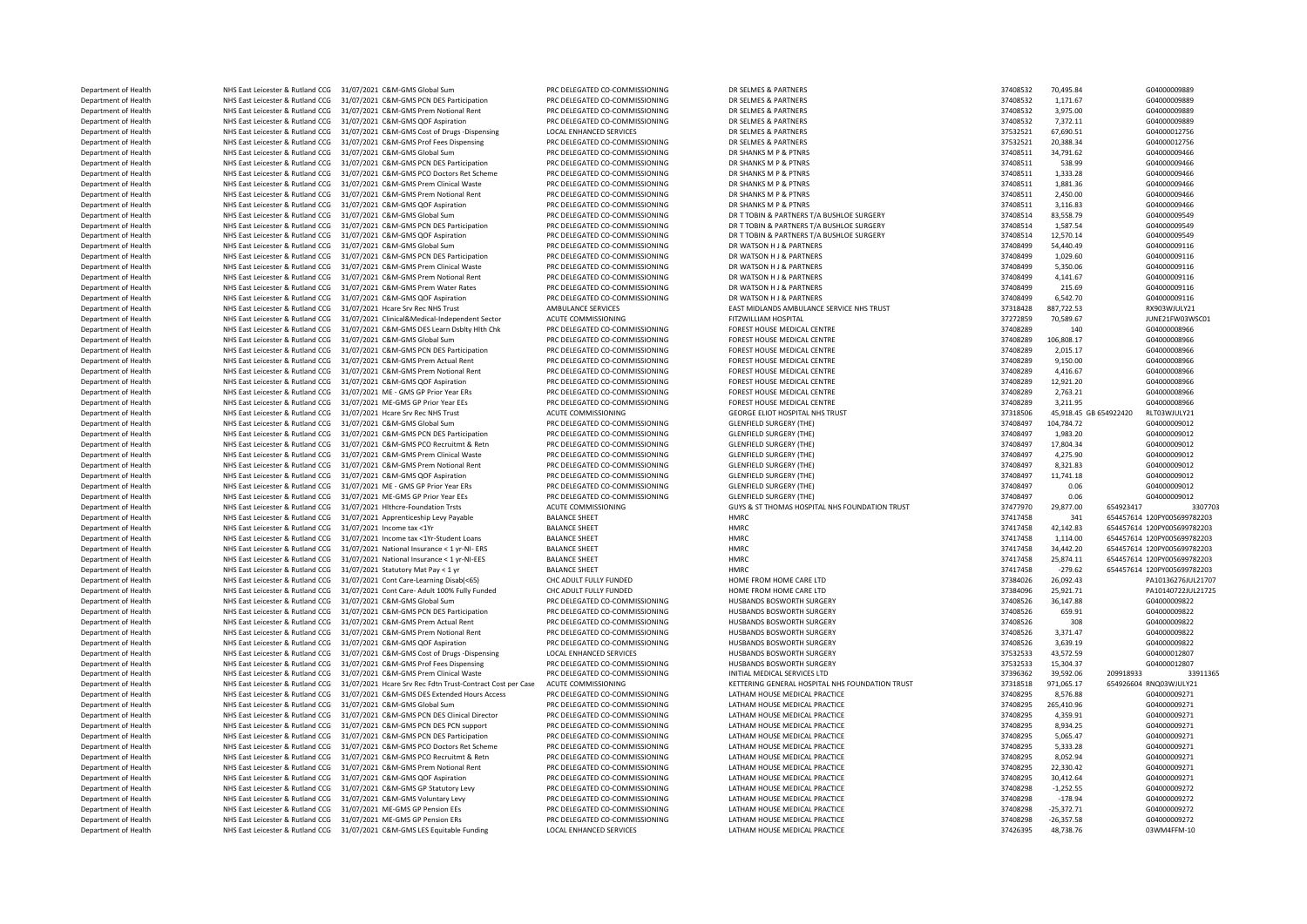Department of Health NHS East Leicester & Rutland CCG 31/07/2021 C&M-GMS Global Sum PRC DELEGATED CO-COMMISSIONING DR SELMES & PARTNERS 37408532 370,495.84 37408532 70,495.84 G0400009889<br>Department of Health NHS East Leice Department of Health NHS East Leicester & Rutland CCG 31/07/2021 C&M-GMS PCN DES Participation PRC DELEGATED CO-COMMISSIONING DR SELMES & PARTNERS 37408532 1,171.67 G04000009889 Department of Health NHS East Leicester & Rutland CCG 31/07/2021 C&M-GMS Prem Notional Rent PRC DELEGATED CO-COMMISSIONING DR SELMES & PARTNERS 37408532 3,975.00 37408532 3,975.00 G0400009889<br>Department of Health NHS East Department of Health NHS East Leicester & Rutland CCG 31/07/2021 C&M-GMS QOF Aspiration PRC DELEGATED CO-COMMISSIONING DR SELMES & PARTNERS 37408532 7,372.11 604000009889<br>Department of Health NHS East Leicester & Butland C Department of Health MHS East Leicester & Rutland CCG 31/07/2021 C&M-GMS Cost of Drugs -Dispensing LOCAL ENHANCED SERVICES DR SELMES & PARTNERS 37532521 67,690.51 67,690.51 604000012756<br>Department of Health MHS East Leice Department of Health NHS East Leicester & Rutland CCG 31/07/2021 C&M-GMS Prof Fees Dispensing PRC DELEGATED CO-COMMISSIONING DR SELMES & PARTNERS 37532521 20,388.34 G04000012756 C04000012756 PRC DELEGATED CO-COMMISSIONING Department of Health NHS East Leicester & Rutland CCG 31/07/2021 C&M-GMS Global Sum PRC DELEGATED CO-COMMISSIONING DR SHANKS M P & PTNRS 37408511 34,791.62 57408511 34,791.62 G04000009466 Department of Health NHS East Leicester & Rutland CCG 31/07/2021 C&M-GMS PCN DES Participation PRC DELEGATED CO-COMMISSIONING DR SHANKS M P & PTNRS 37408511 538.99 57408511 538.99 G0400009466<br>Department of Health NHS East Department of Health NHS East Leicester & Rutland CCG 31/07/2021 C&M-GMS PCO Doctors Ret Scheme PRC DELEGATED CO-COMMISSIONING DR SHANKS M P & PTNRS 37408511 1,333.28 G04000009466<br>Department of Health NHS East Leicester & Department of Health NHS East Leicester & Rutland CCG 31/07/2021 C&M-GMS Prem Clinical Waste PRC DELEGATED CO-COMMISSIONING DR SHANKS M P & PTNRS 37408511 37408511 1,881.36 G04000009466<br>Department of Health NHS East Leices Department of Health NHS East Leicester & Rutland CCG 31/07/2021 C&M-GMS Prem Notional Rent PRC DELEGATED CO-COMMISSIONING DR SHANKS M P & PTNRS 37408511 37408511 2,450.00 604000009466<br>Department of Health NHS East Leicest Department of Health NHS East Leicester & Rutland CCG 31/07/2021 C&M-GMS QOF Aspiration PRC DELEGATED CO-COMMISSIONING DR SHANKS M P & PTNRS PRETOR BUSHENES T/A RUSHEN STAGERY 37408511 3,116.83 GO4000009466 GO4000009466<br>De Department of Health NHS East Leicester & Rutland CCG 31/07/2021 C&M-GMS Global Sum PRC DELEGATED CO-COMMISSIONING DR TTOBIN & PARTNERS T/A BUSHLOE SURGERY 37408514 83,558.79 G04000009549<br>Department of Health NHS East Leic Department of Health NHS East Leicester & Rutland CCG 31/07/2021 C&M-GMS PCN DES Participation PRC DELEGATED CO-COMMISSIONING DR TTOBIN & PARTNERS T/A BUSHLOE SURGERY 37408514 1,587.54 G04000009549<br>Department of Health NHS Department of Health NHS East Leicester & Rutland CCG 31/07/2021 C&M-GMS QOF Aspiration PRC DELEGATED CO-COMMISSIONING DR TTOBIN & PARTNERS T/A BUSHLOE SURGERY 37408514 12,570.14 60400009549 604000009549<br>Department of Heal Department of Health NHS East Leicester & Rutland CCG 31/07/2021 C&M-GMS Global Sum PRC DELEGATED CO-COMMISSIONING DR WATSON H & PARTNERS 37408499 54,440.49 G0400009116 G04000099116 PARTNERS 20010009116 DR WATSON H & DATHR Department of Health NHS East Leicester & Rutland CCG 31/07/2021 C&M-GMS PCN DES Participation PRC DELEGATED CO-COMMISSIONING DR WATSON H & PARTNERS 37408499 37408499 1,029.60 G0400009116 CO4000009116 PRC DELEGATED PRC DEL Department of Health NHS East Leicester & Rutland CCG 31/07/2021 C&M-GMS Prem Clinical Waste PRC DELEGATED CO-COMMISSIONING DR WATSON H & PARTNERS 37408499 5,350.06 5,350.06 60400009116<br>Department of Health NHS East Leices Department of Health NHS East Leicester & Rutland CCG 31/07/2021 C&M-GMS Prem Notional Rent PRC DELEGATED CO-COMMISSIONING DR WATSON H & PARTNERS 37408499 4,141.67 G0400009116 G04000009116 COMMISSIONING DR WATSON HARP ARTN <table>\n<tbody>\n<tr>\n<th>Department of Health</th>\n<th>NHS East leisure of Aet, and</th>\n<th>NHS</th>\n</tr>\n<tr>\n<td>OMHS</td>\n<td>215.69</td>\n<td>374084999</td>\n<td>215.69</td>\n</tr>\n<tr>\n<td>Definition</td>\n<td>215.69</td>\n<td>3740849999</td>\n<td>37408499999999999916</td>\n</tr>\n<tr>\n<td>Definition</td>\n<td>20000009116</td>\n<td>20107008116</td>\n<td>201000081 Oepartment of Health MHS East Leicester & Rutland CCG 31/07/2021 C&M-GMS QOF Aspiration PRC DELEGATED CO-COMMISSIONING DR WATSON H J& PARTNERS 37408499 6,542.70 60400009116<br>Department of Health MHS East Leicester & Putla Department of Health NHS East Leicester & Rutland CCG 31/07/2021 Hcare Srv Rec NHS Trust AMBULANCE SERVICES EAST MIDLANDS AMBULANCE SERVICE NHS TRUST RUST 2003128428 887,722.53 RX903WJULY21 ميري و 20.589 Statester & Rutlan Department of Health NHS East Leicester & Rutland CCG 31/07/2021 Clinical&Medical-Independent Sector ACUTE COMMISSIONING FITZWILLIAM HOSPITAL THE SECTOR SECTOR 37272859 70,589.67 JUNE21FW03W<br>Department of Health NHS East L ية Department of Health NHS East Leicester & Rutland CCG 31/07/2021 C&M-GMS DES Learn Dsblty Hlth Chk PRC DELEGATED CO-COMMISSIONING FOREST HOUSE MEDICAL CENTRE 37408289 140 604000008966<br>- Department of Health NHS East DRS East Leicester & Rutland CCG 31/07/2021 C&M-GMS Global Sum Department of Health NHS East Leicester & Rutland CCG 31/07/2021 C&M-GMS PCN DES Participation PRC DELEGATED CO-COMMISSIONING FOREST HOUSE MEDICAL CENTRE 37408289 2,015.17 G04000008966 Department of Health NHS East Leicester & Rutland CCG 31/07/2021 C&M-GMS Prem Actual Rent PRC DELEGATED CO-COMMISSIONING FOREST HOUSE MEDICAL CENTRE 37408289 9,150.00 9,150.00 G04000008966 Department of Health NHS East Leicester & Rutland CCG 31/07/2021 C&M-GMS Prem Notional Rent PRC DELEGATED CO-COMMISSIONING FOREST HOUSE MEDICAL CENTRE STAGES 37408289 4,416.67 604000008966<br>Department of Health NHS East Lei NHS East Leicester & Rutland CCG 31/07/2021 C&M-GMS QOF Aspiration Department of Health NHS East Leicester & Rutland CCG 31/07/2021 ME - GMS GP Prior Year ERs PRC DELEGATED CO-COMMISSIONING FOREST HOUSE MEDICAL CENTRE 37408289 3743.21 37408289 3753.21 G04000008966 Department of Health NHS East Leicester & Rutland CCG 31/07/2021 ME-GMS GP Prior Year EEs PRC DELEGATED CO-COMMISSIONING FOREST HOUSE MEDICAL CENTRE STRESS TO A STRESS 37408289 3,211.95 GO4000008966 3.201.95 STRESS ALSO AN NHS East Leicester & Rutland CCG 31/07/2021 Hcare Srv Rec NHS Trust 2000 ACUTE COMMISSIONING GEORGE ELIOT HOSPITAL NHS TRUST 37318506 45,918.45 GE 654922420 RLT03WJULY21 ACUTE 21/07/2021 Hcare Srv Rec NHS Trust Commissioni Department of Health NHS East Leicester & Rutland CCG 31/07/2021 C&M-GMS Global Sum PRC DELEGATED CO-COMMISSIONING GLENFIELD SURGERY (THE) 37408497 104,784.72 G04000009012 Department of Health NHS East Leicester & Rutland CCG 31/07/2021 C&M-GMS PCN DES Participation PRC DELEGATED CO-COMMISSIONING GLENFIELD SURGERY (THE) 37408497 37408497 1,983.20 504000009012<br>Department of Health NHS East Le Department of Health NHS East Leicester & Rutland CCG 31/07/2021 C&M-GMS PCO Recruitmt & Retn PRC DELEGATED CO-COMMISSIONING GLENFIELD SURGERY (THE) 37408497 17,804.34 G04000099012<br>Department of Health NHS East Leicester & Department of Health NHS East Leicester & Rutland CCG 31/07/2021 C&M-GMS Prem Clinical Waste PRC DELEGATED CO-COMMISSIONING GLENFIELD SURGERY (THE) 37408497 4,275.90 37408497 4,275.90 604000099012<br>Department of Health NHS Department of Health NHS East Leicester & Rutland CCG 31/07/2021 C&M-GMS Prem Notional Rent PRC DELEGATED CO-COMMISSIONING GLENFIELD SURGERY (THE) 37408497 8,321.83 G0400009012<br>Department of Health NHS East Leicester & But Department of Health NHS East Leicester & Rutland CCG 31/07/2021 C&M-GMS QOF Aspiration PRC DELEGATED CO-COMMISSIONING GLENFIELD SURGERY (THE) 37408497 11,741.18 GO400009012<br>Department of Health NHS East Leicester & Rutlan Department of Health MHS East Leicester & Rutland CCG 31/07/2021 ME - GMS GP Prior Year ERs PRC DELEGATED CO-COMMISSIONING GLENFIELD SURGERY (THE) 37408497 0.06 604000009012<br>Department of Health NHS East Leicester & Rutlan Department of Health NHS East Leicester & Rutland CCG 31/07/2021 ME-GMS GP Prior Year EEs PRC DELEGATED CO-COMMISSIONING GLENFIELD SURGERY (THE) 33008497 33008497 0.06 G0400009012 37408497 (504000009012 12:00 ACLIFT COMMIS Department of Health NHS East Leicester & Rutland CCG 31/07/2021 Hlthcre-Foundation Trsts ACUTE COMMISSIONING GUYS & ST THOMAS HOSPITAL NHS FOUNDATION TRUST 37477970 29,877.00 654923417 330770 330770 29,877.00 454923417 33 Department of Health NHS East Leicester & Rutland CCG 31/07/2021 Apprenticeship Levy Payable BALANCE SHEET HMRC HEART AND STATT AND STATT AND STATT AND STATT AND STATT AND STATT AND STATT AND STATT AND STATT AND STATT AND <table>\n<tbody>\n<tr>\n<th>Department of Health</th>\n<th>NHS East Leicester &amp; Rutland CGG</th>\n<th>31/07/2021</th>\n<th>Ircome tax &lt;1Yr</th>\n<th>BALANCE SHEIT</th>\n<th>BMRC</th>\n<th>HMRC</th>\n<th>HMRC</th>\n<th>25</th>\n<th>25</th>\n<th>25</th>\n<th>37417458</th>\n<th>37417458</th>\n<th>42,142.83</th>\n<th>654457614</th>\n<th>120PY00569978203</th>\n</tr>\n<tr>\n<td>Department of Health Department of Health NHS East Leicester & Rutland CCG 31/07/2021 Income tax <1Yr-Student Loans BALANCE SHEET HMRC 37417458 1,114.00 654457614 120PY005699782203 Department of Health NHS East Leicester & Rutland CCG 31/07/2021 National Insurance < 1 yr-NI- ERS BALANCE SHEET HMRC NHS EARLY AND THE STATE STATE STATE STATES AND A STATE STATES AND A STATE STATES STATES AND STATES STATE Department Network Network Network CCG 31/07/2021 National Insurance < 1 yr-NI-EES  $\begin{array}{l} \textbf{Department of Health} \qquad \qquad \textbf{NHS} \textbf{Test} \textbf{Let} \textbf{1} & \textbf{1} & \textbf{1} & \textbf{1} & \textbf{1} & \textbf{1} & \textbf{1} & \textbf{1} & \textbf{1} & \textbf{1} & \textbf{1} & \textbf{1} & \textbf{1} & \textbf{1} & \textbf{1} & \textbf{1} & \textbf{1} & \textbf{1} & \textbf{1} & \textbf{1} & \textbf{1} & \textbf{1} & \textbf{1} & \textbf{1} & \textbf{1} & \textbf$ Department of Health NHS East Leicester & Rutland CCG 31/07/2021 Cont Care-Learning Disab(<65) CHC ADULT FULLY FUNDED HOME FROM HOME CARE LTD 37484026 27384026 26,092.43 PA10136276ULL21707 Department of Health NHS East Leicester & Rutland CCG 31/07/2021 Cont Care- Adult 100% Fully Funded CHC ADULT FULLY FUNDED HOME FROM HOME CARE LTD 37384096 25,921.71 PA10140722JUL21725<br>Department of Health NHS East Leicest NHS East Leicester & Rutland CCG 31/07/2021 C&M-GMS Global Sum Department of Health NHS East Leicester & Rutland CCG 31/07/2021 C&M-GMS PCN DES Participation PRC DELEGATED CO-COMMISSIONING HUSBANDS BOSWORTH SURGERY 37408526 659.91 669.91 G04000009822 Department of Health NHS East Leicester & Rutland CCG 31/07/2021 C&M-GMS Prem Actual Rent PRC DELEGATED CO-COMMISSIONING HUSBANDS BOSWORTH SURGERY 37408526 37408526 3371.47 G04000009822 G04000009822 G04000009822 CREATED PR Department of Health NHS East Leicester & Rutland CCG 31/07/2021 C&M-GMS Prem Notional Rent PRC DELEGATED CO-COMMISSIONING HUSBANDS BOSWORTH SURGERY NEGRATED AND REST AND REST AND REST AND REST AND REST AND REST AND REST A Department of Health MHS East Leicester & Rutland CCG 31/07/2021 C&M-GMS QOF Aspiration PRC DELEGATED CO-COMMISSIONING HUSBANDS BOSWORTH SURGERY STAND AST 37408526 3,639.19 60400009822<br>Department of Health MHS East Leicest Department of Health **NHS East Leicester & Rutland CCG** 31/07/2021 C&M-GMS Cost of Drugs -Dispensing Department of Health NHS East Leicester & Rutland CCG 31/07/2021 C&M-GMS Prof Fees Dispensing PRC DELEGATED CO-COMMISSIONING HUSBANDS BOSWORTH SURGERY 37532533 15,304.37 57532533 15,304.37 604000012807 Department of Health NHS East Leicester & Rutland CCG 31/07/2021 C&M-GMS Prem Clinical Waste PRC DELEGATED CO-COMMISSIONING INITIAL MEDICAL SERVICES LTD 379 3391365 37396362 39,592.06 209918933 33911365 Department of Health NHS East Leicester & Rutland CCG 31/07/2021 Hcare Srv Rec Fdtn Trust-Contract Cost per Case ACUTE COMMISSIONING KETTERING GENERAL HOSPITAL NHS FOUNDATION TRUST 37318518 971,065.17 654926604 RNO03WJULY2 Department of Health NHS East Leicester & Rutland CCG 31/07/2021 C&M-GMS DES Extended Hours Access PRC DELEGATED CO-COMMISSIONING LATHAM HOUSE MEDICAL PRACTICE 37408295 8,576.88 60400009271 CHENGATED CO-COMMISSIONING Depar Department of Health NHS East Leicester & Rutland CCG 31/07/2021 C&M-GMS Global Sum PRC DELEGATED CO-COMMISSIONING LATHAM HOUSE MEDICAL PRACTICE 37408295 265,410.96 504000099271 COMOOD EAST A 37408295 265,410.96 GOMOOD ATH Department of Health NHS East Leicester & Rutland CCG 31/07/2021 C&M-GMS PCN DES Clinical Director PRC DELEGATED CO-COMMISSIONING LATHAM HOUSE MEDICAL PRACTICE 37408295 4,359.91 G0400009271 G0400009271 CALCHAR ARENGAN DIRE Department of Health NHS East Leicester & Rutland CCG 31/07/2021 C&M-GMS PCN DES PCN support PRC DELEGATED CO-COMMISSIONING LATHAM HOUSE MEDICAL PRACTICE 37408295 8,934.25 G0400009271 G0400009271 CALCHAR HOUSE ARE EAST PRO NHS East Leicester & Rutland CCG 31/07/2021 C&M-GMS PCN DES Participation PRC DELEGATED CO-COMMISSIONING LATHAM HOUSE MEDICAL PRACTICE 37408295 5,065.47 G04000009271 G0400009271 CBA-GMS PROTOCOM PRACTICE 221/07/2011 CBA-GM Department of Health NHS East Leicester & Rutland CCG 31/07/2021 C&M-GMS PCO Doctors Ret Scheme PRC DELEGATED CO-COMMISSIONING LATHAM HOUSE MEDICAL PRACTICE 37408295 5,333.28 G0400009271 60400009271 CBC 20100009271 CBC 201 Department of Health NHS East Leicester & Rutland CCG 31/07/2021 C&M-GMS PCO Recruitmt & Retn PRC DELEGATED CO-COMMISSIONING LATHAM HOUSE MEDICAL PRACTICE 37408295 8,052.94 G0400009271 G0400009271 CALCHAR PROTECT COMMISSI Department of Health NHS East Leicester & Rutland CCG 31/07/2021 C&M-GMS Prem Notional Rent PRC DELEGATED CO-COMMISSIONING LATHAM HOUSE MEDICAL PRACTICE 37408295 22,330.42 G0400009271 G0400009271 CALCHAREN PREM DELEGATED C Department Neutland CCG 31/07/2021 C&M-GMS QOF Aspiration Department of Health NHS East Leicester & Rutland CCG 31/07/2021 C&M-GMS GP Statutory Levy PRC DELEGATED CO-COMMISSIONING LATHAM HOUSE MEDICAL PRACTICE 37408298 -1,252.55 G0400009272 Department of Health NHS East Leicester & Rutland CCG 31/07/2021 C&M-GMS Voluntary Levy PRC DELEGATED CO-COMMISSIONING LATHAM HOUSE MEDICAL PRACTICE COMPOSITED ATTAS AND STAD 298 37408298 -178.94 604000009272 COMORDICAL PR Department of Health NHS East Leicester & Rutland CCG 31/07/2021 ME-GMS GP Pension EEs PROGENEGATED CO-COMMISSIONING LATHAM HOUSE MEDICAL PRACTICE AND STAGES 37408298 -25,372.71 G0400009272 G0400009272 CHARAM DUSE MEDICAL Department of Health NHS East Leicester & Rutland CCG 31/07/2021 ME-GMS GP Pension ERs PRC DELEGATED CO-COMMISSIONING LATHAM HOUSE MEDICAL PRACTICE 37408298 -26,357.58 Department of Health NHS East Leicester & Rutland CCG 31/07/2021 C&M-GMS LES Equitable Funding LOCAL ENHANCED SERVICES LATHAM HOUSE MEDICAL PRACTICE 37426395 48,738.76 03WM4FFM-10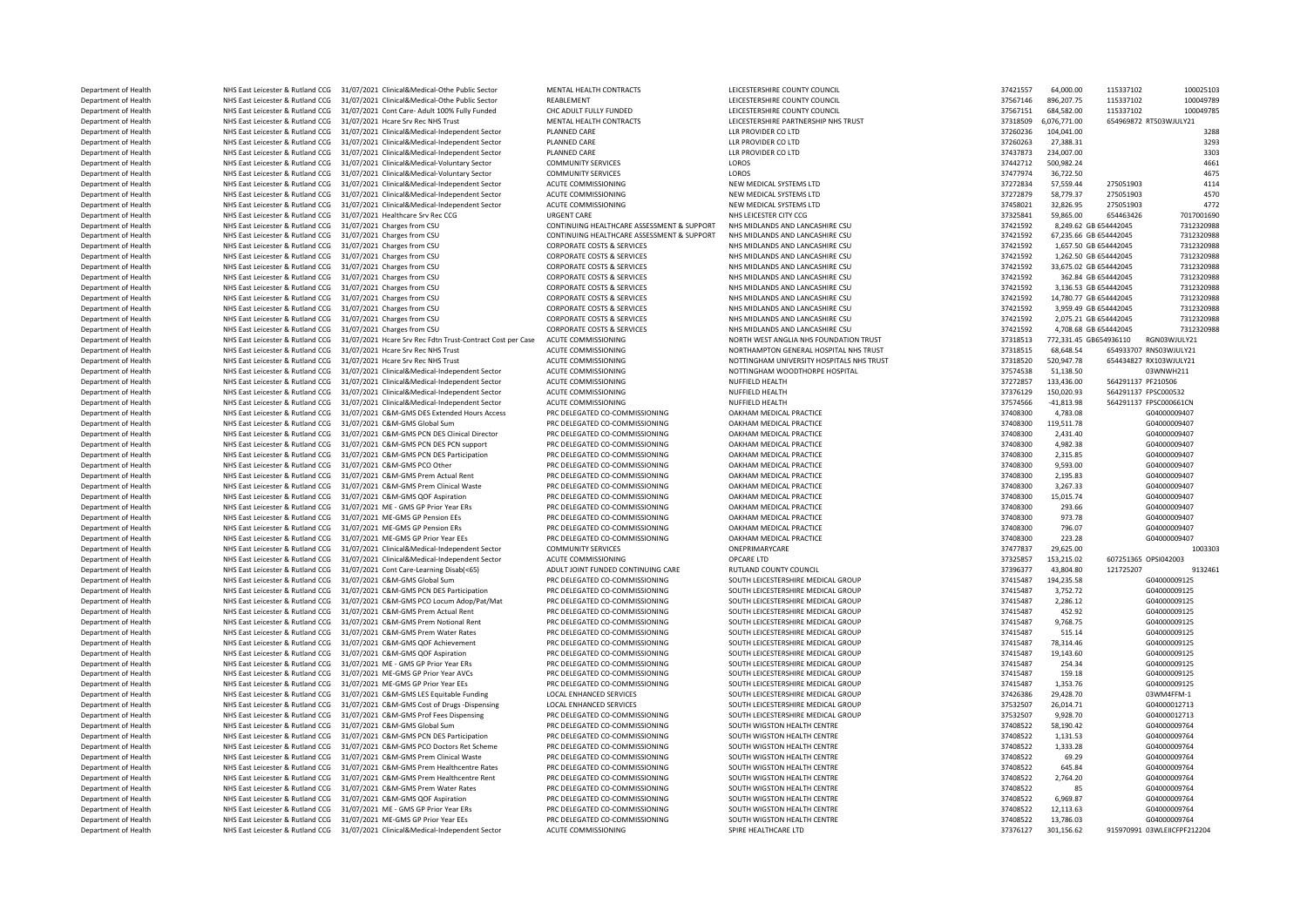Department of Health MHS East Leicester & Rutland CCG 31/07/2021 Clinical&Medical-Othe Public Sector MENTAL HEALTH CONTRACTS LEICESTERSHIRE COUNTY COUNCIL STATE 10001 2000 2000 115337102 100025103<br>Department of Health MHS Department of Health NHS East Leicester & Rutland CCG 31/07/2021 Clinical&Medical-Othe Public Sector REABLEMENT REABLEMENT LEICESTERSHIRE COUNTY COUNCIL SECTOR 137567146 896,207.75 115337102 100049789 100049789 100049789 1 Department of Health NHS East Leicester & Rutland CCG 31/07/2021 Cont Care- Adult 100% Fully Funded CHC ADULT FULLY FUNDED LEICESTERSHIRE COUNTY COUNCIL STATES SARE 37567151 684,582.00 115337102 1000<br>Department of Health N Department of Health NHS East Leicester & Rutland CCG 31/07/2021 Hcare Srv Rec NHS Trust MENTAL HEALTH CONTRACTS LEICESTERSHIRE PARTNERSHIP NHS TRUST 37318509 6,076,771.00 676,771.00 676,771.00 654969872 RT503WJULY21 RT503 Department of Health NHS East Leicester & Rutland CCG 31/07/2021 Clinical&Medical-Independent Sector PLANNED CARE LLR PROVIDER CO LTD 2023 33289 104,041.00 37260236 104,041.00 3288<br>Department of Health NHS East Leicester & Department of Health NHS East Leicester & Rutland CCG 31/07/2021 Clinical&Medical-Independent Sector PLANNED CARE LLR PROVIDER CO LTD 3738-31 3738-31 3738-31 3293<br>Department of Health NHS East Leicester & Butland CCG 31/07 Department of Health MHS East Leicester & Rutland CCG 31/07/2021 Clinical&Medical-Independent Sector PLANNED CARE LLR PROVIDER CO LTD LLR PROVIDER CO LTD 37437873 234,007.00 37437873 234,007.00 3733873 234,007.00 37342771 Department of Health NHS East Leicester & Rutland CCG 31/07/2021 Clinical&Medical-Voluntary Sector COMMUNITY SERVICES LOROS 37442712 500,982.24 3661 37442712 500,982.24 4661 37477074 36 100 000 37477074 37477074 37477074 3 Department of Health MHS East Leicester & Rutland CCG 31/07/2021 Clinical&Medical-Voluntary Sector COMMUNITY SERVICES LOROS 37477974 36,722.50 37477974 36,722.50 4675 4676 4676 4676 4676 4676 474 474 475 476 476 476 476 47 Department of Health NHS East Leicester & Rutland CCG 31/07/2021 Clinical&Medical-Independent Sector ACUTE COMMISSIONING NEW MEDICAL SYSTEMS LTD 372788 3777834 57,559.44 275051903 4114<br>Department of Health NHS East Leicest Department of Health NHS East Leicester & Rutland CCG 31/07/2021 Clinical&Medical-Independent Sector ACUTE COMMISSIONING NEW MEDICAL SYSTEMS LTD 37 2000 3772879 58,779.37 275051903 4570 4570 4570 4772 4772 4772 4772 4772 4 Department of Health 2752651903 NHS East Leicester & Rutland CCG 31/07/2021 Clinical&Medical-Independent Sector ACUTE COMMISSIONING NEW MEDICAL SYSTEMS LTD 37458021 32,826.95 275051903 4772<br>Department of Health SHS East Le Department of Health MHS East Leicester & Rutland CCG 31/07/2021 Healthcare Srv Rec CCG URGENT CARE NEGENT CARE<br>Department of Health NHS East Leicester & Rutland CCG 31/07/2021 Charges from CSU CONTINUING HEALTHCARE ASSESS Department of Health MHS East Leicester & Rutland CCG 31/07/2021 Charges from CSU CONTINUING HEALTHCARE ASSESSMENT & SUPPORT NHS MIDLANDS AND LANCASHIRE CSU 3741592 8,249.62 GB 654442045 7312320988<br>Department of Health MHS Department of Health NHS East Leicester & Rutland CCG 31/07/2021 Charges from CSU CONTINUING HEALTHCARE ASSESSMENT & SUPPORT NHS MIDLANDS AND LANCASHIRE CSU 3741592 57,235.66 GB 654442045 7312320988 7312320988 7312320988 7 Department of Health NHS East Leicester & Rutland CCG 31/07/2021 Charges from CSU CORPORATE COSTS & SERVICES NHS MIDLANDS AND LANCASHIRE CSU 37421592 37421592 1,657.50 GB 654442045 7312320988<br>Department of Health NHS East Department of Health NHS East Leicester & Rutland CCG 31/07/2021 Charges from CSU CORPORATE COSTS & SERVICES NHS MIDLANDS AND LANCASHIRE CSU 37421592 37421592 1,262.50 GB 654442045 7312320988 Department of Health NHS East Leicester & Rutland CCG 31/07/2021 Charges from CSU CORPORATE COSTS & SERVICES NHS MIDLANDS AND LANCASHIRE CSU 37421592 33,675.02 GB 654442045 7312320988<br>Department of Health NHS East Leiceste Department of Health NHS East Leicester & Rutland CCG 31/07/2021 Charges from CSU CORPORATE COSTS & SERVICES NHS MIDLANDS AND LANCASHIRE CSU 37421592 362.84 GB 654442045 7312320988<br>Department of Health NHS East Leicester & Department of Health NHS East Leicester & Rutland CCG 31/07/2021 Charges from CSU CORPORATE COSTS & SERVICES NHS MIDLANDS AND LANCASHIRE CSU 37421592 3,136.53 GB 654442045 7312320988<br>Department of Health NHS East Leicester Department of Health NHS East Leicester & Rutland CCG 31/07/2021 Charges from CSU CORPORATE COSTS & SERVICES NHS MIDLANDS AND LANCASHIRE CSU 37421592 14,780.77 GB 654442045 7312320988<br>Department of Health NHS East Leiceste Department of Health NHS East Leicester & Rutland CCG 31/07/2021 Charges from CSU CORPORATE COSTS & SERVICES NHS MIDLANDS AND LANCASHIRE CSU 37421592 3,959.49 GB 654442045 7312320988<br>Department of Health NHS East Leicester Department of Health NHS East Leicester & Rutland CCG 31/07/2021 Charges from CSU CORPORATE COSTS & SERVICES NHS MIDLANDS AND LANCASHIRE CSU 37421592 2,075.21 GB 654442045 7312320988<br>Department of Health NHS East Leicester Department of Health NHS East Leicester & Rutland CCG 31/07/2021 Charges from CSU CORPORATE COSTS & SERVICES NHS MIDLANDS AND LANCASHIRE CSU 37412592 4,708.68 GB 654442045 73123<br>Department of Health NHS East Leicester & Ru NHS East Leicester & Rutland CCG 31/07/2021 Hcare Srv Rec Fdtn Trust-Contract Cost per Case Department of Health NHS East Leicester & Rutland CCG 31/07/2021 Hcare Srv Rec NHS Trust ACUTE COMMISSIONING NORTHAMPTON GENERAL HOSPITAL NHS TRUST 37318515 68.648.54 654933707 RNS03WJULY21 Department of Health NHS East Leicester & Rutland CCG 31/07/2021 Hcare Srv Rec NHS Trust ACUTE COMMISSIONING NOTTINGHAM UNIVERSITY HOSPITALS NHS TRUST 37318520 520,947.78 654434827 RX103WJULY21 مير وي وي المستحدث المستحدث Department of Health NHS East Leicester & Rutland CCG 31/07/2021 Clinical&Medical-Independent Sector ACUTE COMMISSIONING NOTTINGHAM WOODTHORPE HOSPITAL 37574538 51,138.50 03WNVH2<br>Department of Health NHS East Leicester & B NHS East Leicester & Rutland CCG 31/07/2021 Clinical&Medical-Independent Sector Department of Health NHS East Leicester & Rutland CCG 31/07/2021 Clinical&Medical-Independent Sector ACUTE COMMISSIONING NUFFIELD HEALTH 37376129 150,020.93 564291137 FPSC000532<br>Department of Health NHS East Leicester & Ru Department of Health NHS East Leicester & Rutland CCG 31/07/2021 Clinical&Medical-Independent Sector ACUTE COMMISSIONING NUFFIELD HEALTH 31/07/2021 CLINICAL ACUTE COMMISSIONING NUFFIELD HEALTH 3757456 -41,813.98 564291137 Department of Health NHS East Leicester & Rutland CCG 31/07/2021 C&M-GMS DES Extended Hours Access PRC DELEGATED CO-COMMISSIONING OAKHAM MEDICAL PRACTICE 37408300 4,783.08 604000009407<br>Department of Health NHS East Leicest Department of Health NHS East Leicester & Rutland CCG 31/07/2021 C&M-GMS Global Sum PRC DELEGATED CO-COMMISSIONING OAKHAM MEDICAL PRACTICE 37408300 119,511.78 57408300 119,511.78 G04000009407 Department of Health NHS East Leicester & Rutland CCG 31/07/2021 C&M-GMS PCN DES Clinical Director PRC DELEGATED CO-COMMISSIONING DAKHAM MEDICAL PRACTICE 31/07 0AKHAM MEDICAL PRACTICE DELEGATED CO-COMMISSIONING DAKHAM MEDI Department of Health NHS East Leicester & Rutland CCG 31/07/2021 C&M-GMS PCN DES PCN support PRC DELEGATED CO-COMMISSIONING OAKHAM MEDICAL PRACTICE 37408300 4,982.38 G04000009407 4,982.38 G04000009407 Department of Health NHS East Leicester & Rutland CCG 31/07/2021 C&M-GMS PCN DES Participation PRC DELEGATED CO-COMMISSIONING DAKHAM MEDICAL PRACTICE 37408300 2,315.85 G0400009407 G0400009407 G04000009407 CNL DES PARTICE D Department of Health NHS East Leicester & Rutland CCG 31/07/2021 C&M-GMS PCO Other PRC DELEGATED CO-COMMISSIONING OAKHAM MEDICAL PRACTICE 37408300 9,593.00 G04000009407<br>Department of Health NHS East Leicester & Butland CCG Department of Health NHS East Leicester & Rutland CCG 31/07/2021 C&M-GMS Prem Actual Rent PRC DELEGATED CO-COMMISSIONING OAKHAM MEDICAL PRACTICE 37408300 37408300 2,195.83 G0400009407<br>Department of Health NHS East Leiceste Department of Health NHS East Leicester & Rutland CCG 31/07/2021 C&M-GMS Prem Clinical Waste PRC DELEGATED CO-COMMISSIONING DAKHAM MEDICAL PRACTICE STAGES AND 197408300 3,267.33 G0400009407<br>Department of Health NHS East Le Department of Health NHS East Leicester & Rutland CCG 31/07/2021 C&M-GMS QOF Aspiration PRC DELEGATED CO-COMMISSIONING OAKHAM MEDICAL PRACTICE 31/07 37408300 15,015.74 60400009407<br>Department of Health NHS East Leicester & Department of Health NHS East Leicester & Rutland CCG 31/07/2021 ME - GMS GP Prior Year ERs PRC DELEGATED CO-COMMISSIONING DAKHAM MEDICAL PRACTICE SAN ARE DEPARTMENT AND STAND AND STAND AND STAND AND STAND AND STAND AND ST Department of Health NHS East Leicester & Rutland CCG 31/07/2021 ME-GMS GP Pension EEs PRC DELEGATED CO-COMMISSIONING OAKHAM MEDICAL PRACTICE 37408300 973.78 G04000009407<br>Department of Health NHS East Leicester & Butland C Department of Health NHS East Leicester & Rutland CCG 31/07/2021 ME-GMS GP Pension ERS PRO PERS PRE DELEGATED CO-COMMISSIONING OAKHAM MEDICAL PRACTICE SANTAM PRODUCT AND A STANDARD AND THE STAND OR ANNOUNCE AND STAND AND S Department of Health MHS East Leicester & Rutland CCG 31/07/2021 ME-GMS GP Prior Year EEs PRC DELEGATED CO-COMMISSIONING OAKHAM MEDICAL PRACTICE 31/07/2021 AGS 2000009407 PRESS 20000009407 PRESS 20000009407 PRESS 200000094 Department of Health NHS East Leicester & Rutland CCG 31/07/2021 Clinical&Medical-Independent Sector COMMUNITY SERVICES ONEPRIMARYCARE ONEPRIMARYCARE 37477837 29,625.00 37477837 29,625.00 100331355 37477837 29,625.00 10033 Department of Health Network Network NHS East Leicester & Rutland CCG 31/07/2021 Clinical&Medical-Independent Sector Department of Health NHS East Leicester & Rutland CCG 31/07/2021 Cont Care-Learning Disab(<65) ADULT IOINT FUNDED CONTINUING CARE RUTLAND COUNTY COUNCIL 379961 37396377 43,804.80 121725207 9132461 Department of Health NHS East Leicester & Rutland CCG 31/07/2021 C&M-GMs Global Sum PRC DELEGATED CO-COMMISSIONING SOUTH LEICESTERSHIRE MEDICAL GROUP 37411482 194,235.58 GO400009125 Department of Health NHS East Leicester & Rutland CCG 31/07/2021 C&M-GMS PCN DES Participation PRC DELEGATED CO-COMMISSIONING SOUTH LEICESTERSHIRE MEDICAL GROUP 37415487 3,752.72 60400009125<br>Department of Health NHS East L Department NHS East Leicester & Rutland CCG 31/07/2021 C&M-GMS PCO Locum Adop/Pat/Mat Department of Health NHS East Leicester & Rutland CCG 31/07/2021 C&M-GMS Prem Actual Rent PRC DELEGATED CO-COMMISSIONING SOUTH LEICESTERSHIRE MEDICAL GROUP 37415487 452.92 452.92 G04000009125 Department of Health NHS East Leicester & Rutland CCG 31/07/2021 C&M-GMS Prem Notional Rent PRC DELEGATED CO-COMMISSIONING SOUTH LEICESTERSHIRE MEDICAL GROUP 37415487 37415487 9,768.75 G04000099125 G04000099125 (G040000991 Department of Health NHS East Leicester & Rutland CCG 31/07/2021 C&M-GMS Prem Water Rates PRC DELEGATED CO-COMMISSIONING SOUTH LEICESTERSHIRE MEDICAL GROUP 37415487 515.14 Department of Health NHS East Leicester & Rutland CCG 31/07/2021 C&M-GMS QOF Achievement PRC DELEGATED CO-COMMISSIONING SOUTH LEICESTERSHIRE MEDICAL GROUP 37415487 78,314.46 60400009125<br>Department of Health NHS East Leices Department of Health NHS East Leicester & Rutland CCG 31/07/2021 C&M-GMS QOF Aspiration PRC DELEGATED CO-COMMISSIONING SOUTH LEICESTERSHIRE MEDICAL GROUP 37415487 Department of Health NHS East Leicester & Rutland CCG 31/07/2021 ME - GMS GP Prior Year ERs PRC DELEGATED CO-COMMISSIONING SOUTH LEICESTERSHIRE MEDICAL GROUP 37415487 37415487 254.34 G04000009125 Department of Health NHS East Leicester & Rutland CCG 31/07/2021 ME-GMS GP Prior Year AVCs PRC DELEGATED CO-COMMISSIONING SOUTH LEICESTERSHIRE MEDICAL GROUP 37415487 159.18 504000009125 Department of Health NHS East Leicester & Rutland CCG 31/07/2021 ME-GMS GP Prior Year EEs PRC DELEGATED CO-COMMISSIONING SOUTH LEICESTERSHIRE MEDICAL GROUP 37415487 1,353.76 G04000009125 Department of Health NHS East Leicester & Rutland CCG 31/07/2021 C&M-GMS LES Equitable Funding LOCAL ENHANCED SERVICES SOUTH LEICESTERSHIRE MEDICAL GROUP SOUTH LEICESTERSHIRE MEDICAL GROUP 3753260 29,428.70 37426.70 03WM4F Department of Health NHS East Leicester & Rutland CCG 31/07/2021 C&M-GMS Cost of Drugs -Dispensing LOCAL ENHANCED SERVICES SOUTH LEICESTERSHIRE MEDICAL GROUP 37532507 26,014.71 604000012713<br>Department of Health NHS East Le Department of Health NHS East Leicester & Rutland CCG 31/07/2021 C&M-GMS Prof Fees Dispensing PRC DELEGATED CO-COMMISSIONING SOUTH LEICESTERSHIRE MEDICAL GROUP 37532507 9,928.70 53730852507 9,928.70 604000012713<br>Department Department of Health NHS East Leicester & Rutland CCG 31/07/2021 C&M-GMS Global Sum PRC DELEGATED CO-COMMISSIONING SOUTH WIGSTON HEALTH CENTRE 3740852 58,190.42 58,190.42 60400009764<br>Department of Health NHS East Leicester NHS East Leicester & Rutland CCG 31/07/2021 C&M-GMS PCN DES Participation PRC DELEGATED CO-COMMISSIONING SOUTH WIGSTON HEALTH CENTRE 37408522 1,131.53 G04000009764<br>NHS East Leicester & Rutland CCG 31/07/2021 C&M-GMS PCC De Department of Health NHS East Leicester & Rutland CCG 31/07/2021 C&M-GMS PCO Doctors Ret Scheme PRC DELEGATED CO-COMMISSIONING SOUTH WIGSTON HEALTH CENTRE SOUTH 2017 2012 57408522 1,333.28 G0400009764<br>Department of Health Department of Health NHS East Leicester & Rutland CCG 31/07/2021 C&M-GMS Prem Clinical Waste PRC DELEGATED CO-COMMISSIONING SOUTH WIGSTON HEALTH CENTRE 37408522 69.29 60400009764<br>Department of Health NHS East Leicester & R Department of Health MHS East Leicester & Rutland CCG 31/07/2021 C&M-GMS Prem Healthcentre Rates PRC DELEGATED CO-COMMISSIONING SOUTH WIGSTON HEALTH CENTRE 37408522 645.84 G0400009764<br>Department of Health MHS East Leiceste DEPARTMENT OF HEALTH NET HEALTH NET HEALTH NET ALSO AND RESERVE DELEGATED PROPERTY AND PROPERTY OF PROPERTY OF PROPERTY OF PROPERTY OF PROPERTY OF PROPERTY OF PROPERTY OF PROPERTY AND ALL THAT CHARGE 374.20 GDG ATTEMPTY OF Department of Health NHS East Leicester & Rutland CCG 31/07/2021 C&M-GMS Prem Water Rates PRC DELEGATED CO-COMMISSIONING SOUTH WIGSTON HEALTH CENTRE 37408522 85 G0400009764 Department of Health NHS East Leicester & Rutland CCG 31/07/2021 C&M-GMS QOF Aspiration PRC DELEGATED CO-COMMISSIONING SOUTH WIGSTON HEALTH CENTRE 37408522 6,969.87 GO400000964 Department of Health NHS East Leicester & Rutland CCG 31/07/2021 ME - GMS GP Prior Year ERs PRC DELEGATED CO-COMMISSIONING SOUTH WIGSTON HEALTH CENTRE 37408522 12,113.63 G0400009764<br>Department of Health NHS East Leicester Department of Health NHS East Leicester & Rutland CCG 31/07/2021 ME-GMS GP Prior Year EEs PRC DELEGATED CO-COMMISSIONING SOUTH WIGSTON HEALTH CENTRE 37408522 Department of Health NHS East Leicester & Rutland CCG 31/07/2021 Clinical&Medical-Independent Sector ACUTE COMMISSIONING SPIRE HEALTHCARE LTD SPIRE HEALTHCARE LTD 37376127 301,156.62 915970991 03WLEIICFPF212204